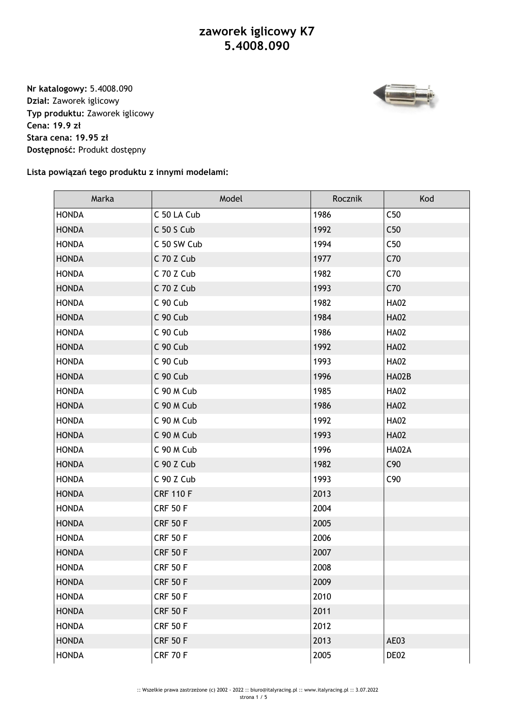**Nr katalogowy:** 5.4008.090 **Dział:** Zaworek iglicowy **Typ produktu:** Zaworek iglicowy **Cena: 19.9 zł Stara cena: 19.95 zł Dostępność:** Produkt dostępny



**Lista powiązań tego produktu z innymi modelami:**

| Marka        | Model            | Rocznik | Kod          |
|--------------|------------------|---------|--------------|
| <b>HONDA</b> | C 50 LA Cub      | 1986    | C50          |
| <b>HONDA</b> | C 50 S Cub       | 1992    | C50          |
| <b>HONDA</b> | C 50 SW Cub      | 1994    | C50          |
| <b>HONDA</b> | C 70 Z Cub       | 1977    | C70          |
| <b>HONDA</b> | C 70 Z Cub       | 1982    | C70          |
| <b>HONDA</b> | C 70 Z Cub       | 1993    | C70          |
| <b>HONDA</b> | C 90 Cub         | 1982    | <b>HA02</b>  |
| <b>HONDA</b> | C 90 Cub         | 1984    | <b>HA02</b>  |
| <b>HONDA</b> | C 90 Cub         | 1986    | <b>HA02</b>  |
| <b>HONDA</b> | C 90 Cub         | 1992    | <b>HA02</b>  |
| <b>HONDA</b> | C 90 Cub         | 1993    | <b>HA02</b>  |
| <b>HONDA</b> | C 90 Cub         | 1996    | <b>HA02B</b> |
| <b>HONDA</b> | C 90 M Cub       | 1985    | <b>HA02</b>  |
| <b>HONDA</b> | C 90 M Cub       | 1986    | <b>HA02</b>  |
| <b>HONDA</b> | C 90 M Cub       | 1992    | <b>HA02</b>  |
| <b>HONDA</b> | C 90 M Cub       | 1993    | <b>HA02</b>  |
| <b>HONDA</b> | C 90 M Cub       | 1996    | HA02A        |
| <b>HONDA</b> | C 90 Z Cub       | 1982    | C90          |
| <b>HONDA</b> | C 90 Z Cub       | 1993    | C90          |
| <b>HONDA</b> | <b>CRF 110 F</b> | 2013    |              |
| <b>HONDA</b> | <b>CRF 50 F</b>  | 2004    |              |
| <b>HONDA</b> | <b>CRF 50 F</b>  | 2005    |              |
| <b>HONDA</b> | <b>CRF 50 F</b>  | 2006    |              |
| <b>HONDA</b> | <b>CRF 50 F</b>  | 2007    |              |
| <b>HONDA</b> | <b>CRF 50 F</b>  | 2008    |              |
| <b>HONDA</b> | <b>CRF 50 F</b>  | 2009    |              |
| <b>HONDA</b> | <b>CRF 50 F</b>  | 2010    |              |
| <b>HONDA</b> | <b>CRF 50 F</b>  | 2011    |              |
| <b>HONDA</b> | <b>CRF 50 F</b>  | 2012    |              |
| <b>HONDA</b> | <b>CRF 50 F</b>  | 2013    | AE03         |
| <b>HONDA</b> | <b>CRF 70 F</b>  | 2005    | DE02         |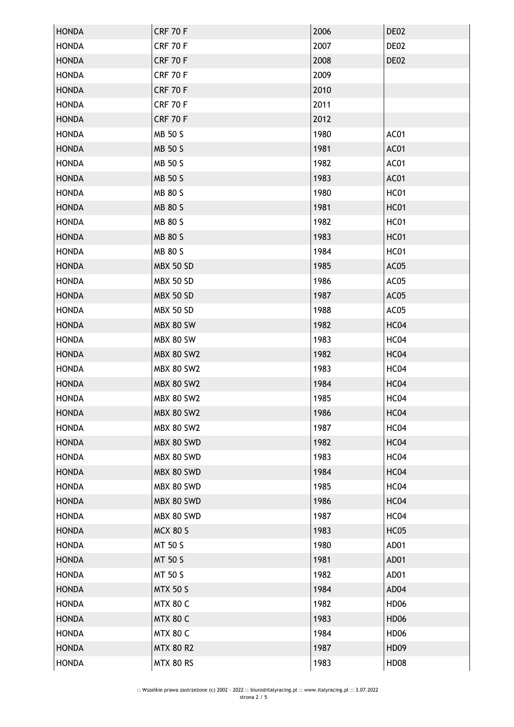| <b>HONDA</b><br><b>HONDA</b> |                   |      |                  |
|------------------------------|-------------------|------|------------------|
|                              | <b>CRF 70 F</b>   | 2006 | DE02             |
|                              | <b>CRF 70 F</b>   | 2007 | DE02             |
| <b>HONDA</b>                 | <b>CRF 70 F</b>   | 2008 | DE02             |
| <b>HONDA</b>                 | <b>CRF 70 F</b>   | 2009 |                  |
| <b>HONDA</b>                 | <b>CRF 70 F</b>   | 2010 |                  |
| <b>HONDA</b>                 | <b>CRF 70 F</b>   | 2011 |                  |
| <b>HONDA</b>                 | <b>CRF 70 F</b>   | 2012 |                  |
| <b>HONDA</b>                 | <b>MB 50 S</b>    | 1980 | AC01             |
| <b>HONDA</b>                 | MB 50 S           | 1981 | AC01             |
| <b>HONDA</b>                 | <b>MB 50 S</b>    | 1982 | AC01             |
| <b>HONDA</b>                 | MB 50 S           | 1983 | AC01             |
| <b>HONDA</b>                 | MB 80 S           | 1980 | <b>HC01</b>      |
| <b>HONDA</b>                 | MB 80 S           | 1981 | <b>HC01</b>      |
| <b>HONDA</b>                 | MB 80 S           | 1982 | <b>HC01</b>      |
| <b>HONDA</b>                 | <b>MB 80 S</b>    | 1983 | <b>HC01</b>      |
| <b>HONDA</b>                 | <b>MB 80 S</b>    | 1984 | <b>HC01</b>      |
| <b>HONDA</b>                 | <b>MBX 50 SD</b>  | 1985 | AC05             |
| <b>HONDA</b>                 | <b>MBX 50 SD</b>  | 1986 | AC05             |
| <b>HONDA</b>                 | <b>MBX 50 SD</b>  | 1987 | AC05             |
| <b>HONDA</b>                 | <b>MBX 50 SD</b>  | 1988 | AC05             |
| <b>HONDA</b>                 | <b>MBX 80 SW</b>  | 1982 | HC04             |
| <b>HONDA</b>                 | MBX 80 SW         | 1983 | HC04             |
| <b>HONDA</b>                 | <b>MBX 80 SW2</b> | 1982 | HC04             |
| <b>HONDA</b>                 | <b>MBX 80 SW2</b> | 1983 | HC04             |
| <b>HONDA</b>                 | <b>MBX 80 SW2</b> | 1984 | HC04             |
| <b>HONDA</b>                 | <b>MBX 80 SW2</b> | 1985 | HC <sub>04</sub> |
| <b>HONDA</b>                 | <b>MBX 80 SW2</b> | 1986 | HC04             |
| <b>HONDA</b>                 | <b>MBX 80 SW2</b> | 1987 | HC04             |
| <b>HONDA</b>                 | MBX 80 SWD        | 1982 | HC04             |
| <b>HONDA</b>                 | MBX 80 SWD        | 1983 | HC04             |
| <b>HONDA</b>                 | MBX 80 SWD        | 1984 | HC04             |
|                              |                   |      |                  |
| <b>HONDA</b>                 | MBX 80 SWD        | 1985 | HC04             |
| <b>HONDA</b>                 | MBX 80 SWD        | 1986 | HC04             |
| <b>HONDA</b>                 | MBX 80 SWD        | 1987 | HC04             |
| <b>HONDA</b>                 | <b>MCX 80 S</b>   | 1983 | <b>HC05</b>      |
| <b>HONDA</b>                 | MT 50 S           | 1980 | AD01             |
| <b>HONDA</b>                 | <b>MT 50 S</b>    | 1981 | AD01             |
| <b>HONDA</b>                 | MT 50 S           | 1982 | AD01             |
| <b>HONDA</b>                 | <b>MTX 50 S</b>   | 1984 | AD04             |
| <b>HONDA</b>                 | <b>MTX 80 C</b>   | 1982 | <b>HD06</b>      |
| <b>HONDA</b>                 | <b>MTX 80 C</b>   | 1983 | <b>HD06</b>      |
| <b>HONDA</b>                 | <b>MTX 80 C</b>   | 1984 | <b>HD06</b>      |
| <b>HONDA</b>                 | <b>MTX 80 R2</b>  | 1987 | <b>HD09</b>      |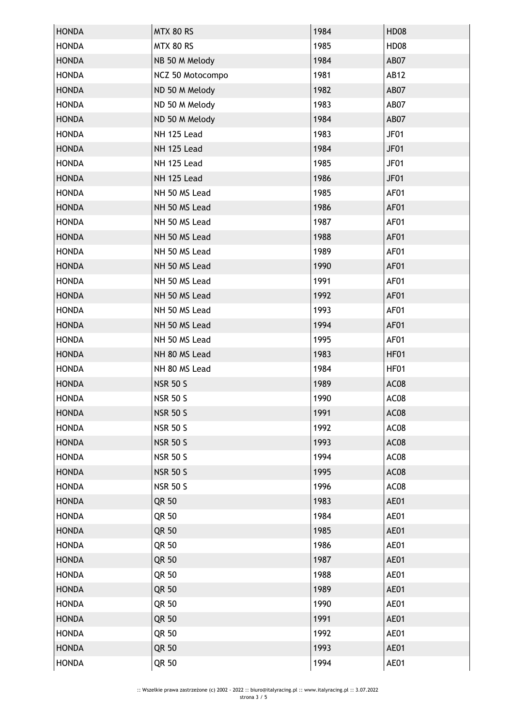| <b>HONDA</b> | <b>MTX 80 RS</b> | 1984 | <b>HD08</b> |
|--------------|------------------|------|-------------|
| <b>HONDA</b> | <b>MTX 80 RS</b> | 1985 | <b>HD08</b> |
| <b>HONDA</b> | NB 50 M Melody   | 1984 | AB07        |
| <b>HONDA</b> | NCZ 50 Motocompo | 1981 | <b>AB12</b> |
| <b>HONDA</b> | ND 50 M Melody   | 1982 | AB07        |
| <b>HONDA</b> | ND 50 M Melody   | 1983 | AB07        |
| <b>HONDA</b> | ND 50 M Melody   | 1984 | AB07        |
| <b>HONDA</b> | NH 125 Lead      | 1983 | JF01        |
| <b>HONDA</b> | NH 125 Lead      | 1984 | JF01        |
| <b>HONDA</b> | NH 125 Lead      | 1985 | JF01        |
| <b>HONDA</b> | NH 125 Lead      | 1986 | JF01        |
| <b>HONDA</b> | NH 50 MS Lead    | 1985 | AF01        |
| <b>HONDA</b> | NH 50 MS Lead    | 1986 | AF01        |
| <b>HONDA</b> | NH 50 MS Lead    | 1987 | AF01        |
| <b>HONDA</b> | NH 50 MS Lead    | 1988 | AF01        |
| <b>HONDA</b> | NH 50 MS Lead    | 1989 | AF01        |
| <b>HONDA</b> | NH 50 MS Lead    | 1990 | AF01        |
| <b>HONDA</b> | NH 50 MS Lead    | 1991 | AF01        |
| <b>HONDA</b> | NH 50 MS Lead    | 1992 | AF01        |
| <b>HONDA</b> | NH 50 MS Lead    | 1993 | AF01        |
| <b>HONDA</b> | NH 50 MS Lead    | 1994 | AF01        |
| <b>HONDA</b> | NH 50 MS Lead    | 1995 | AF01        |
| <b>HONDA</b> | NH 80 MS Lead    | 1983 | HF01        |
| <b>HONDA</b> | NH 80 MS Lead    | 1984 | HF01        |
| <b>HONDA</b> | <b>NSR 50 S</b>  | 1989 | AC08        |
| <b>HONDA</b> | <b>NSR 50 S</b>  | 1990 | AC08        |
| <b>HONDA</b> | <b>NSR 50 S</b>  | 1991 | AC08        |
| <b>HONDA</b> | <b>NSR 50 S</b>  | 1992 | AC08        |
| <b>HONDA</b> | <b>NSR 50 S</b>  | 1993 | AC08        |
| <b>HONDA</b> | <b>NSR 50 S</b>  | 1994 | AC08        |
| <b>HONDA</b> | <b>NSR 50 S</b>  | 1995 | AC08        |
| <b>HONDA</b> | <b>NSR 50 S</b>  | 1996 | AC08        |
| <b>HONDA</b> | QR 50            | 1983 | AE01        |
| <b>HONDA</b> | QR 50            | 1984 | AE01        |
| <b>HONDA</b> | QR 50            | 1985 | AE01        |
| <b>HONDA</b> | QR 50            | 1986 | AE01        |
| <b>HONDA</b> | QR 50            | 1987 | AE01        |
| <b>HONDA</b> | QR 50            | 1988 | AE01        |
| <b>HONDA</b> | QR 50            | 1989 | AE01        |
| <b>HONDA</b> | QR 50            | 1990 | AE01        |
| <b>HONDA</b> | QR 50            | 1991 | AE01        |
| <b>HONDA</b> | QR 50            | 1992 | AE01        |
| <b>HONDA</b> | QR 50            | 1993 | AE01        |
| <b>HONDA</b> | QR 50            | 1994 | AE01        |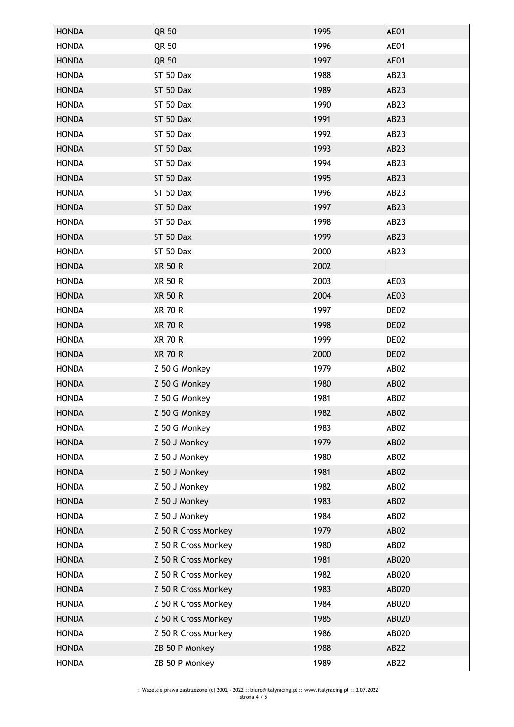| <b>HONDA</b> | QR 50               | 1995 | AE01             |
|--------------|---------------------|------|------------------|
| <b>HONDA</b> | QR 50               | 1996 | AE01             |
| <b>HONDA</b> | QR 50               | 1997 | AE01             |
| <b>HONDA</b> | ST 50 Dax           | 1988 | AB23             |
| <b>HONDA</b> | ST 50 Dax           | 1989 | AB23             |
| <b>HONDA</b> | ST 50 Dax           | 1990 | AB23             |
| <b>HONDA</b> | ST 50 Dax           | 1991 | AB23             |
| <b>HONDA</b> | ST 50 Dax           | 1992 | AB <sub>23</sub> |
| <b>HONDA</b> | ST 50 Dax           | 1993 | AB23             |
| <b>HONDA</b> | ST 50 Dax           | 1994 | AB <sub>23</sub> |
| <b>HONDA</b> | ST 50 Dax           | 1995 | AB23             |
| <b>HONDA</b> | ST 50 Dax           | 1996 | AB23             |
| <b>HONDA</b> | ST 50 Dax           | 1997 | AB <sub>23</sub> |
| <b>HONDA</b> | ST 50 Dax           | 1998 | AB <sub>23</sub> |
| <b>HONDA</b> | ST 50 Dax           | 1999 | AB23             |
| <b>HONDA</b> | ST 50 Dax           | 2000 | AB <sub>23</sub> |
| <b>HONDA</b> | <b>XR 50 R</b>      | 2002 |                  |
| <b>HONDA</b> | <b>XR 50 R</b>      | 2003 | AE03             |
| <b>HONDA</b> | <b>XR 50 R</b>      | 2004 | AE03             |
| <b>HONDA</b> | <b>XR 70 R</b>      | 1997 | DE02             |
| <b>HONDA</b> | <b>XR 70 R</b>      | 1998 | DE02             |
| <b>HONDA</b> | XR 70 R             | 1999 | DE02             |
| <b>HONDA</b> | <b>XR 70 R</b>      | 2000 | DE02             |
| <b>HONDA</b> | Z 50 G Monkey       | 1979 | AB02             |
| <b>HONDA</b> | Z 50 G Monkey       | 1980 | AB02             |
| <b>HONDA</b> | Z 50 G Monkey       | 1981 | AB02             |
| <b>HONDA</b> | Z 50 G Monkey       | 1982 | <b>AB02</b>      |
| <b>HONDA</b> | Z 50 G Monkey       | 1983 | AB02             |
| <b>HONDA</b> | Z 50 J Monkey       | 1979 | <b>AB02</b>      |
| <b>HONDA</b> | Z 50 J Monkey       | 1980 | AB02             |
| <b>HONDA</b> | Z 50 J Monkey       | 1981 | AB02             |
| <b>HONDA</b> | Z 50 J Monkey       | 1982 | AB02             |
| <b>HONDA</b> | Z 50 J Monkey       | 1983 | AB02             |
| <b>HONDA</b> | Z 50 J Monkey       | 1984 | AB02             |
| <b>HONDA</b> | Z 50 R Cross Monkey | 1979 | AB02             |
| <b>HONDA</b> | Z 50 R Cross Monkey | 1980 | AB02             |
| <b>HONDA</b> | Z 50 R Cross Monkey | 1981 | AB020            |
| <b>HONDA</b> | Z 50 R Cross Monkey | 1982 | AB020            |
| <b>HONDA</b> | Z 50 R Cross Monkey | 1983 | AB020            |
| <b>HONDA</b> | Z 50 R Cross Monkey | 1984 | AB020            |
| <b>HONDA</b> | Z 50 R Cross Monkey | 1985 | AB020            |
| <b>HONDA</b> | Z 50 R Cross Monkey | 1986 | AB020            |
| <b>HONDA</b> | ZB 50 P Monkey      | 1988 | AB22             |
| <b>HONDA</b> | ZB 50 P Monkey      | 1989 | AB22             |
|              |                     |      |                  |